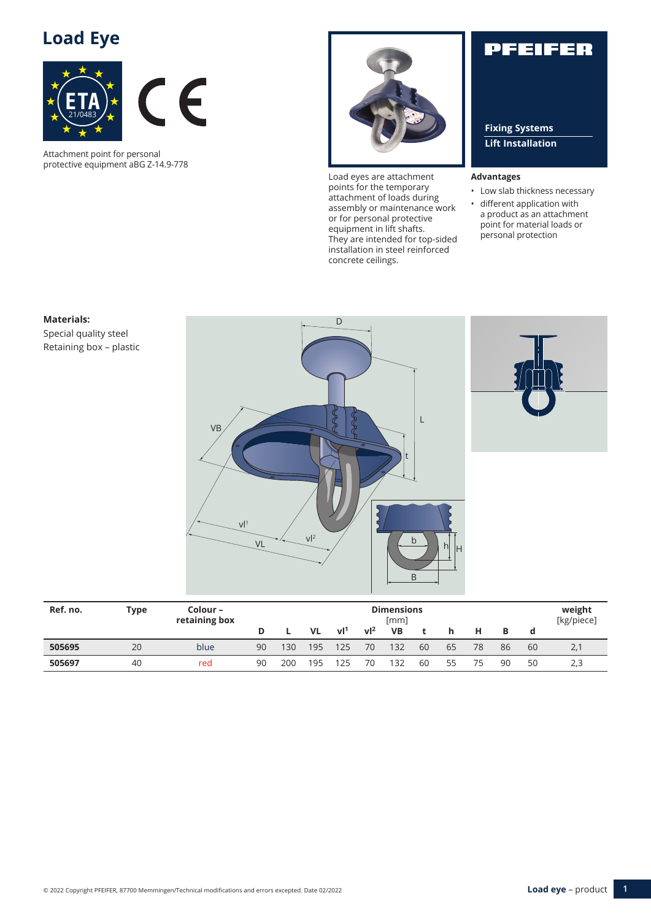## **Load Eye**



Attachment point for personal protective equipment aBG Z-14.9-778



Load eyes are attachment points for the temporary attachment of loads during assembly or maintenance work or for personal protective equipment in lift shafts. They are intended for top-sided installation in steel reinforced concrete ceilings.

## PFEIFER

**Fixing Systems Lift Installation**

#### **Advantages**

- Low slab thickness necessary
- different application with a product as an attachment point for material loads or personal protection



| Ref. no. | Type | Colour –<br>retaining box | <b>Dimensions</b><br>[mm] |     |           | weight<br>[kg/piece] |                |           |    |    |    |    |    |     |
|----------|------|---------------------------|---------------------------|-----|-----------|----------------------|----------------|-----------|----|----|----|----|----|-----|
|          |      |                           |                           |     | <b>VL</b> | vl <sup>1</sup>      | v <sup>2</sup> | <b>VB</b> |    |    |    |    |    |     |
| 505695   | 20   | blue                      | 90                        | 130 | 195       | 125                  | 70             | 132       | 60 | 65 | 78 | 86 | 60 | 2.7 |
| 505697   | 40   | red                       | 90                        | 200 | 95        | 25                   | 70             | 132       | 60 | 55 | 75 | 90 | 50 | 2,3 |

## Retaining box – plastic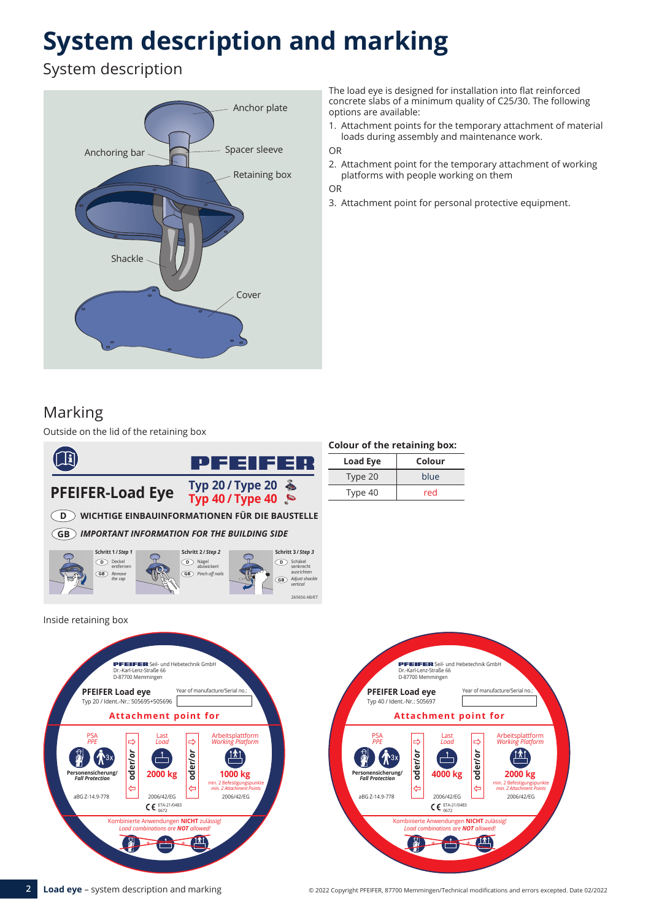# **System description and marking**

System description



The load eye is designed for installation into flat reinforced concrete slabs of a minimum quality of C25/30. The following options are available:

1. Attachment points for the temporary attachment of material loads during assembly and maintenance work.

OR

2. Attachment point for the temporary attachment of working platforms with people working on them

OR

3. Attachment point for personal protective equipment.

## Marking

Outside on the lid of the retaining box



| <b>Colour of the retaining box:</b> |        |
|-------------------------------------|--------|
| <b>Load Eye</b>                     | Colour |

| $-0.44 - 1.7$ | ----- |  |  |
|---------------|-------|--|--|
| Type 20       | blue  |  |  |
| Type 40       | red   |  |  |



**2 Load eye** – System description and marking **Exercise CO222** Copyright PFEIFER, 87700 Memmingen/Technical modifications and errors excepted. Date 02/2022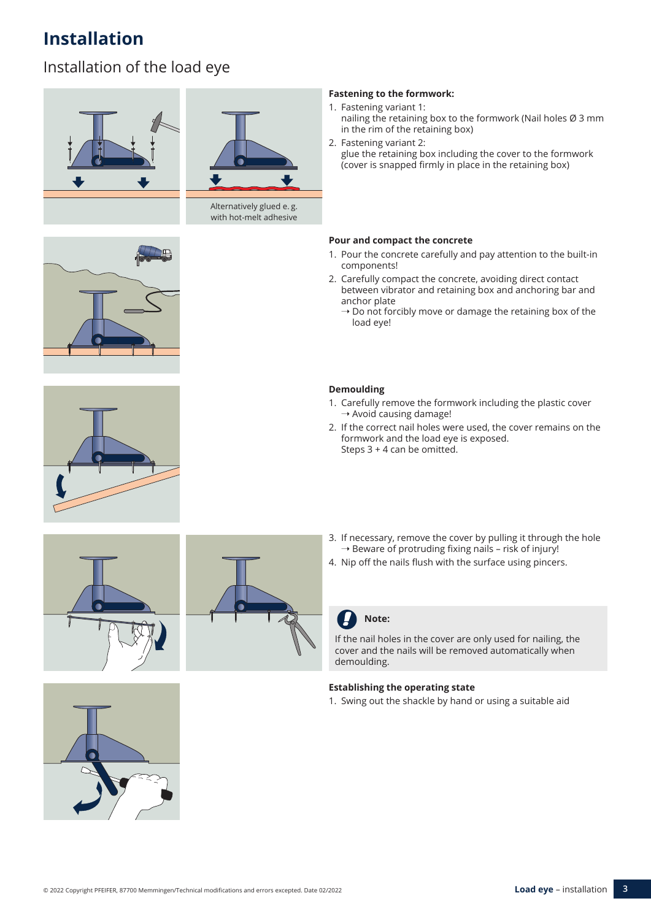## **Installation**

## Installation of the load eye





Alternatively glued e.g. with hot-melt adhesive



- 1. Fastening variant 1: nailing the retaining box to the formwork (Nail holes Ø 3 mm in the rim of the retaining box)
- 2. Fastening variant 2: glue the retaining box including the cover to the formwork (cover is snapped firmly in place in the retaining box)

### **Pour and compact the concrete**

- 1. Pour the concrete carefully and pay attention to the built-in components!
- 2. Carefully compact the concrete, avoiding direct contact between vibrator and retaining box and anchoring bar and anchor plate
	- $\rightarrow$  Do not forcibly move or damage the retaining box of the load eye!

### **Demoulding**

- 1. Carefully remove the formwork including the plastic cover  $\rightarrow$  Avoid causing damage!
- 2. If the correct nail holes were used, the cover remains on the formwork and the load eye is exposed. Steps 3 + 4 can be omitted.







- 3. If necessary, remove the cover by pulling it through the hole  $\rightarrow$  Beware of protruding fixing nails - risk of injury!
- 4. Nip off the nails flush with the surface using pincers.

### **Note:**

If the nail holes in the cover are only used for nailing, the cover and the nails will be removed automatically when demoulding.

### **Establishing the operating state**

1. Swing out the shackle by hand or using a suitable aid

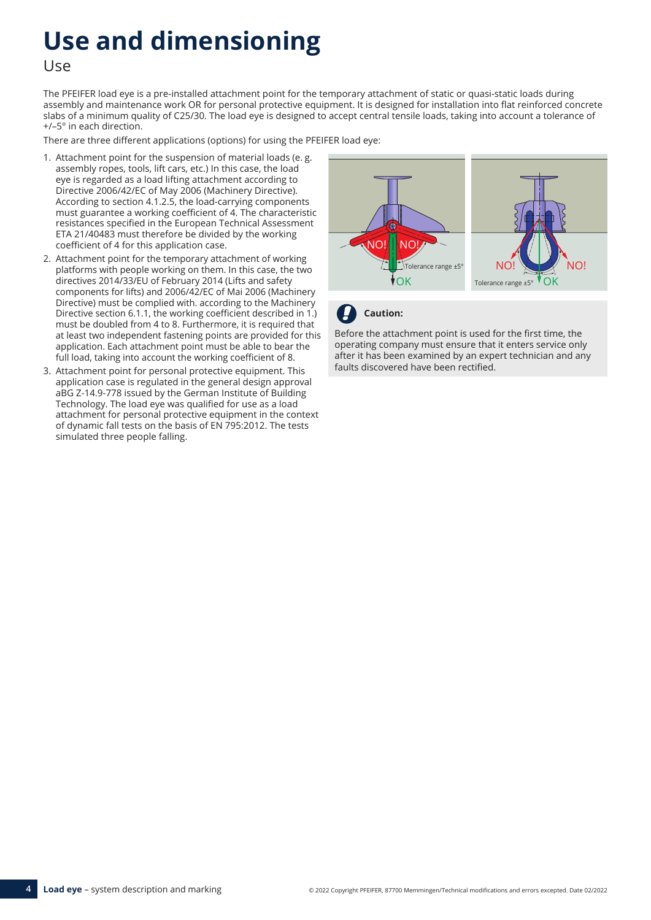# **Use and dimensioning**

Use

The PFEIFER load eye is a pre-installed attachment point for the temporary attachment of static or quasi-static loads during assembly and maintenance work OR for personal protective equipment. It is designed for installation into flat reinforced concrete slabs of a minimum quality of C25/30. The load eye is designed to accept central tensile loads, taking into account a tolerance of +/–5° in each direction.

There are three different applications (options) for using the PFEIFER load eye:

- 1. Attachment point for the suspension of material loads (e. g. assembly ropes, tools, lift cars, etc.) In this case, the load eye is regarded as a load lifting attachment according to Directive 2006/42/EC of May 2006 (Machinery Directive). According to section 4.1.2.5, the load-carrying components must guarantee a working coefficient of 4. The characteristic resistances specified in the European Technical Assessment ETA 21/40483 must therefore be divided by the working coefficient of 4 for this application case.
- 2. Attachment point for the temporary attachment of working platforms with people working on them. In this case, the two directives 2014/33/EU of February 2014 (Lifts and safety components for lifts) and 2006/42/EC of Mai 2006 (Machinery Directive) must be complied with. according to the Machinery Directive section 6.1.1, the working coefficient described in 1.) must be doubled from 4 to 8. Furthermore, it is required that at least two independent fastening points are provided for this application. Each attachment point must be able to bear the full load, taking into account the working coefficient of 8.
- 3. Attachment point for personal protective equipment. This application case is regulated in the general design approval aBG Z-14.9-778 issued by the German Institute of Building Technology. The load eye was qualified for use as a load attachment for personal protective equipment in the context of dynamic fall tests on the basis of EN 795:2012. The tests simulated three people falling.



### **Caution:**

Before the attachment point is used for the first time, the operating company must ensure that it enters service only after it has been examined by an expert technician and any faults discovered have been rectified.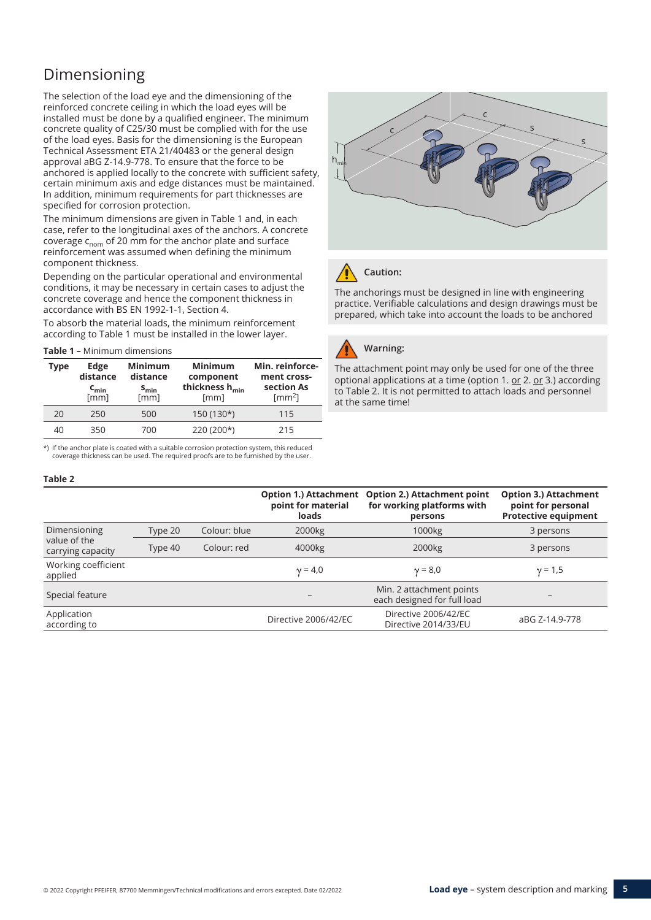## Dimensioning

The selection of the load eye and the dimensioning of the reinforced concrete ceiling in which the load eyes will be installed must be done by a qualified engineer. The minimum concrete quality of C25/30 must be complied with for the use of the load eyes. Basis for the dimensioning is the European Technical Assessment ETA 21/40483 or the general design approval aBG Z-14.9-778. To ensure that the force to be anchored is applied locally to the concrete with sufficient safety, certain minimum axis and edge distances must be maintained. In addition, minimum requirements for part thicknesses are specified for corrosion protection.

The minimum dimensions are given in Table 1 and, in each case, refer to the longitudinal axes of the anchors. A concrete coverage  $c_{\text{nom}}$  of 20 mm for the anchor plate and surface reinforcement was assumed when defining the minimum component thickness.

Depending on the particular operational and environmental conditions, it may be necessary in certain cases to adjust the concrete coverage and hence the component thickness in accordance with BS EN 1992-1-1, Section 4.

To absorb the material loads, the minimum reinforcement according to Table 1 must be installed in the lower layer.

**Table 1 –** Minimum dimensions

| Type | Edge<br>distance<br>$c_{\min}$<br>[mm] | <b>Minimum</b><br>distance<br>$S_{min}$<br>[mm] | <b>Minimum</b><br>component<br>thickness h <sub>min</sub><br>[mm] | Min. reinforce-<br>ment cross-<br>section As<br>$\text{[mm}^2$ |
|------|----------------------------------------|-------------------------------------------------|-------------------------------------------------------------------|----------------------------------------------------------------|
| 20   | 250                                    | 500                                             | 150 (130*)                                                        | 115                                                            |
| 40   | 350                                    | 700                                             | 220 (200*)                                                        | 215                                                            |

\*) If the anchor plate is coated with a suitable corrosion protection system, this reduced coverage thickness can be used. The required proofs are to be furnished by the user.

#### **Table 2**

|                                   |         |              | <b>Option 1.) Attachment</b><br>point for material<br>loads | <b>Option 2.) Attachment point</b><br>for working platforms with<br>persons | <b>Option 3.) Attachment</b><br>point for personal<br><b>Protective equipment</b> |
|-----------------------------------|---------|--------------|-------------------------------------------------------------|-----------------------------------------------------------------------------|-----------------------------------------------------------------------------------|
| Dimensioning                      | Type 20 | Colour: blue | 2000kg                                                      | 1000 <sub>kg</sub>                                                          | 3 persons                                                                         |
| value of the<br>carrying capacity | Type 40 | Colour: red  | 4000kg                                                      | 2000 <sub>kg</sub>                                                          | 3 persons                                                                         |
| Working coefficient<br>applied    |         |              | $\gamma = 4.0$                                              | $y = 8,0$                                                                   | $\gamma = 1,5$                                                                    |
| Special feature                   |         |              |                                                             | Min. 2 attachment points<br>each designed for full load                     |                                                                                   |
| Application<br>according to       |         |              | Directive 2006/42/EC                                        | Directive 2006/42/EC<br>Directive 2014/33/EU                                | aBG Z-14.9-778                                                                    |





### **Caution:**

The anchorings must be designed in line with engineering practice. Verifiable calculations and design drawings must be prepared, which take into account the loads to be anchored



### **Warning:**

The attachment point may only be used for one of the three optional applications at a time (option 1. or 2. or 3.) according to Table 2. It is not permitted to attach loads and personnel at the same time!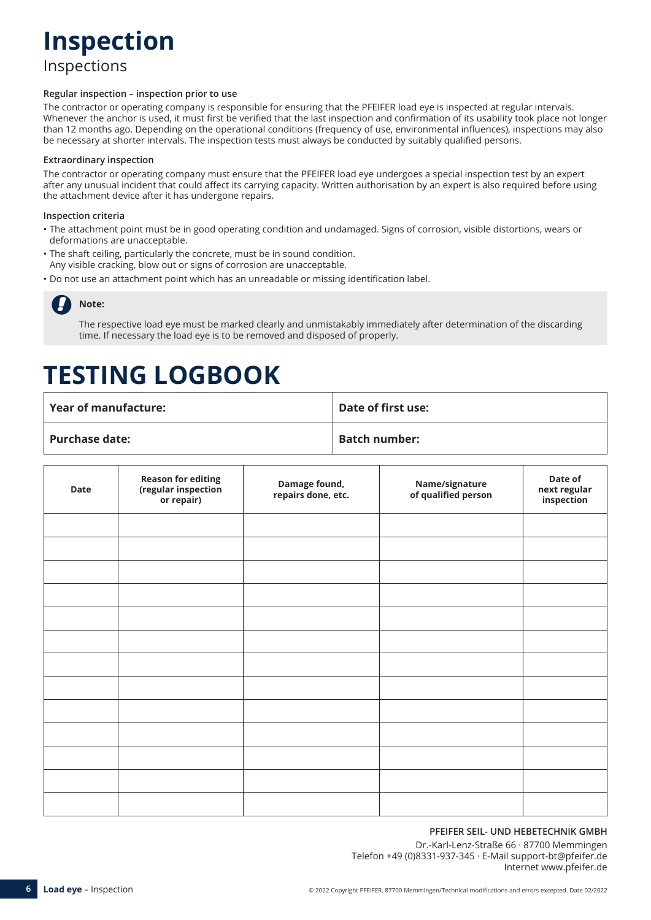## **Inspection**

Inspections

#### **Regular inspection – inspection prior to use**

The contractor or operating company is responsible for ensuring that the PFEIFER load eye is inspected at regular intervals. Whenever the anchor is used, it must first be verified that the last inspection and confirmation of its usability took place not longer than 12 months ago. Depending on the operational conditions (frequency of use, environmental influences), inspections may also be necessary at shorter intervals. The inspection tests must always be conducted by suitably qualified persons.

#### **Extraordinary inspection**

The contractor or operating company must ensure that the PFEIFER load eye undergoes a special inspection test by an expert after any unusual incident that could affect its carrying capacity. Written authorisation by an expert is also required before using the attachment device after it has undergone repairs.

#### **Inspection criteria**

- The attachment point must be in good operating condition and undamaged. Signs of corrosion, visible distortions, wears or deformations are unacceptable.
- The shaft ceiling, particularly the concrete, must be in sound condition. Any visible cracking, blow out or signs of corrosion are unacceptable.
- Do not use an attachment point which has an unreadable or missing identification label.

## **Note:**

The respective load eye must be marked clearly and unmistakably immediately after determination of the discarding time. If necessary the load eye is to be removed and disposed of properly.

## **TESTING LOGBOOK**

| $^{\circ}$ Year of manufacture: $^{\circ}$ | Date of first use:   |
|--------------------------------------------|----------------------|
| Purchase date:                             | <b>Batch number:</b> |

| Date | <b>Reason for editing</b><br>(regular inspection<br>or repair) | Damage found,<br>repairs done, etc. | Name/signature<br>of qualified person | Date of<br>next regular<br>inspection |
|------|----------------------------------------------------------------|-------------------------------------|---------------------------------------|---------------------------------------|
|      |                                                                |                                     |                                       |                                       |
|      |                                                                |                                     |                                       |                                       |
|      |                                                                |                                     |                                       |                                       |
|      |                                                                |                                     |                                       |                                       |
|      |                                                                |                                     |                                       |                                       |
|      |                                                                |                                     |                                       |                                       |
|      |                                                                |                                     |                                       |                                       |
|      |                                                                |                                     |                                       |                                       |
|      |                                                                |                                     |                                       |                                       |
|      |                                                                |                                     |                                       |                                       |
|      |                                                                |                                     |                                       |                                       |
|      |                                                                |                                     |                                       |                                       |
|      |                                                                |                                     |                                       |                                       |

### **PFEIFER SEIL- UND HEBETECHNIK GMBH**

Dr.-Karl-Lenz-Straße 66 · 87700 Memmingen Telefon +49 (0)8331-937-345 · E-Mail support-bt@pfeifer.de Internet www.pfeifer.de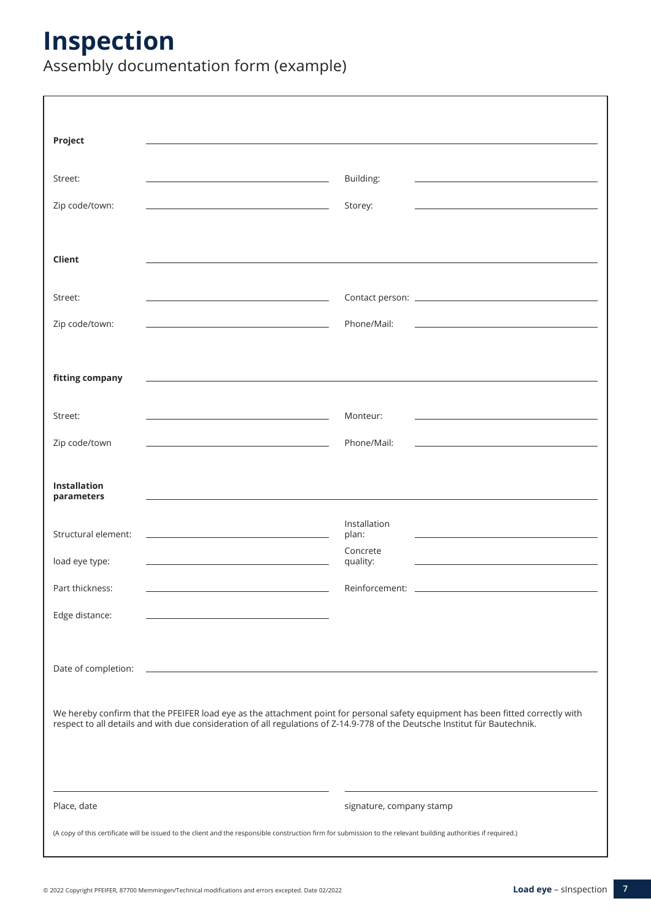## **Inspection**

Assembly documentation form (example)

| Project                           |                                                                                                                                                                  |                                                                                                                                                                                                                                                                 |
|-----------------------------------|------------------------------------------------------------------------------------------------------------------------------------------------------------------|-----------------------------------------------------------------------------------------------------------------------------------------------------------------------------------------------------------------------------------------------------------------|
| Street:                           | the contract of the contract of the contract of the contract of the contract of                                                                                  | Building:                                                                                                                                                                                                                                                       |
| Zip code/town:                    | <u> 1980 - Johann John Stone, markin film yn y breninn y breninn y breninn y breninn y breninn y breninn y brenin</u>                                            | Storey:<br>the control of the control of the control of the control of the control of the control of                                                                                                                                                            |
| Client                            |                                                                                                                                                                  |                                                                                                                                                                                                                                                                 |
| Street:                           | the control of the control of the control of the control of the control of the control of                                                                        |                                                                                                                                                                                                                                                                 |
| Zip code/town:                    |                                                                                                                                                                  | Phone/Mail:                                                                                                                                                                                                                                                     |
| fitting company                   |                                                                                                                                                                  |                                                                                                                                                                                                                                                                 |
| Street:                           |                                                                                                                                                                  | Monteur:                                                                                                                                                                                                                                                        |
| Zip code/town                     | <u> 1990 - Johann Barbara, martin a</u>                                                                                                                          | Phone/Mail:                                                                                                                                                                                                                                                     |
|                                   |                                                                                                                                                                  |                                                                                                                                                                                                                                                                 |
| <b>Installation</b><br>parameters |                                                                                                                                                                  |                                                                                                                                                                                                                                                                 |
| Structural element:               |                                                                                                                                                                  | Installation<br>plan:                                                                                                                                                                                                                                           |
| load eye type:                    |                                                                                                                                                                  | Concrete<br>quality:                                                                                                                                                                                                                                            |
| Part thickness:                   |                                                                                                                                                                  | Reinforcement:                                                                                                                                                                                                                                                  |
| Edge distance:                    | the control of the control of the control of the control of the control of                                                                                       |                                                                                                                                                                                                                                                                 |
| Date of completion:               | <u> 1989 - Johann John Stone, meilich aus der Stone (* 1950)</u>                                                                                                 |                                                                                                                                                                                                                                                                 |
|                                   |                                                                                                                                                                  | We hereby confirm that the PFEIFER load eye as the attachment point for personal safety equipment has been fitted correctly with<br>respect to all details and with due consideration of all regulations of Z-14.9-778 of the Deutsche Institut für Bautechnik. |
| Place, date                       | (A copy of this certificate will be issued to the client and the responsible construction firm for submission to the relevant building authorities if required.) | signature, company stamp                                                                                                                                                                                                                                        |